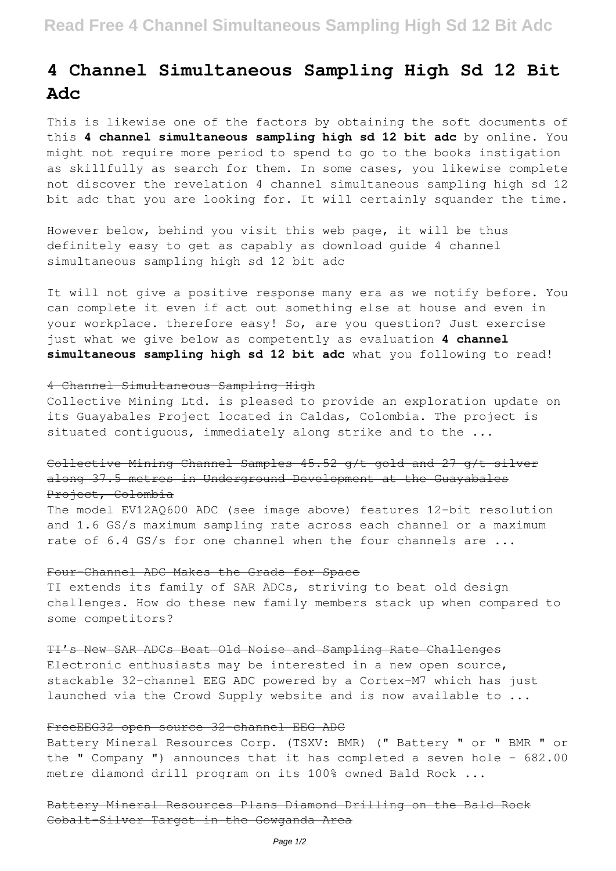# **4 Channel Simultaneous Sampling High Sd 12 Bit Adc**

This is likewise one of the factors by obtaining the soft documents of this **4 channel simultaneous sampling high sd 12 bit adc** by online. You might not require more period to spend to go to the books instigation as skillfully as search for them. In some cases, you likewise complete not discover the revelation 4 channel simultaneous sampling high sd 12 bit adc that you are looking for. It will certainly squander the time.

However below, behind you visit this web page, it will be thus definitely easy to get as capably as download guide 4 channel simultaneous sampling high sd 12 bit adc

It will not give a positive response many era as we notify before. You can complete it even if act out something else at house and even in your workplace. therefore easy! So, are you question? Just exercise just what we give below as competently as evaluation **4 channel simultaneous sampling high sd 12 bit adc** what you following to read!

#### 4 Channel Simultaneous Sampling High

Collective Mining Ltd. is pleased to provide an exploration update on its Guayabales Project located in Caldas, Colombia. The project is situated contiguous, immediately along strike and to the ...

## Collective Mining Channel Samples 45.52 g/t gold and 27 g/t silver along 37.5 metres in Underground Development at the Guayabales Project, Colombia

The model EV12AQ600 ADC (see image above) features 12-bit resolution and 1.6 GS/s maximum sampling rate across each channel or a maximum rate of 6.4 GS/s for one channel when the four channels are ...

#### Four-Channel ADC Makes the Grade for Space

TI extends its family of SAR ADCs, striving to beat old design challenges. How do these new family members stack up when compared to some competitors?

#### TI's New SAR ADCs Beat Old Noise and Sampling Rate Challenges

Electronic enthusiasts may be interested in a new open source, stackable 32-channel EEG ADC powered by a Cortex-M7 which has just launched via the Crowd Supply website and is now available to ...

### FreeEEG32 open source 32-channel EEG ADC

Battery Mineral Resources Corp. (TSXV: BMR) (" Battery " or " BMR " or the " Company ") announces that it has completed a seven hole  $-682.00$ metre diamond drill program on its 100% owned Bald Rock ...

Battery Mineral Resources Plans Diamond Drilling on the Bald Rock Cobalt-Silver Target in the Gowganda Area